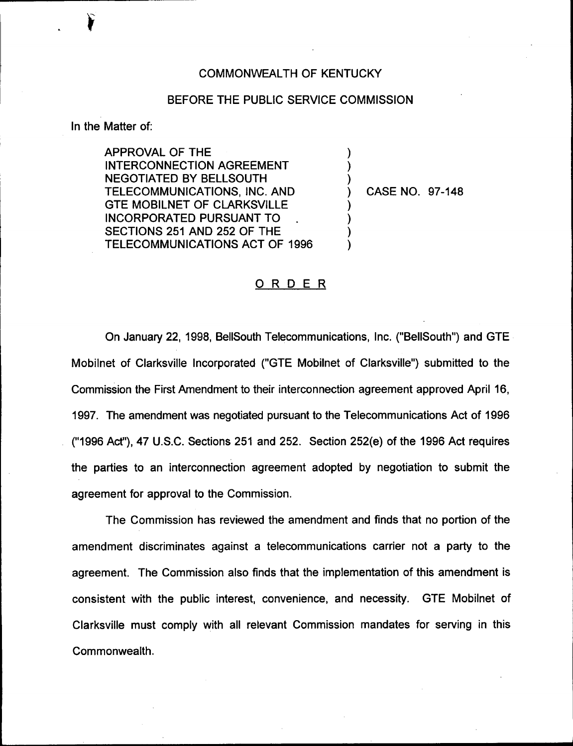## COMMONWEALTH OF KENTUCKY

## BEFORE THE PUBLIC SERVICE COMMISSION

) ) )

) ) ) )

In the Matter of:

APPROVAL OF THE INTERCONNECTION AGREEMENT NEGOTIATED BY BELLSOUTH TELECOMMUNICATIONS, INC. AND GTE MOBILNET OF CLARKSVILLE INCORPORATED PURSUANT TO SECTIONS 251 AND 252 OF THE TELECOMMUNICATIONS ACT OF 1996

) CASE NO. 97-148

## ORDER

On January 22, 1998, BellSouth Telecommunications, Inc. ("BellSouth") and GTE Mobilnet of Clarksville Incorporated ("GTE Mobilnet of Clarksville") submitted to the Commission the First Amendment to their interconnection agreement approved April 16, 1997. The amendment was negotiated pursuant to the Telecommunications Act of 1996 ("1996Act"), 47 U.S.C. Sections 251 and 252. Section 252(e) of the 1996 Act requires the parties to an interconnection agreement adopted by negotiation to submit the agreement for approval to the Commission.

The Commission has reviewed the amendment and finds that no portion of the amendment discriminates against a telecommunications carrier not a party to the agreement. The Commission also finds that the implementation of this amendment is consistent with the public interest, convenience, and necessity. GTE Mobilnet of Clarksville must comply with all relevant Commission mandates for serving in this Commonwealth.